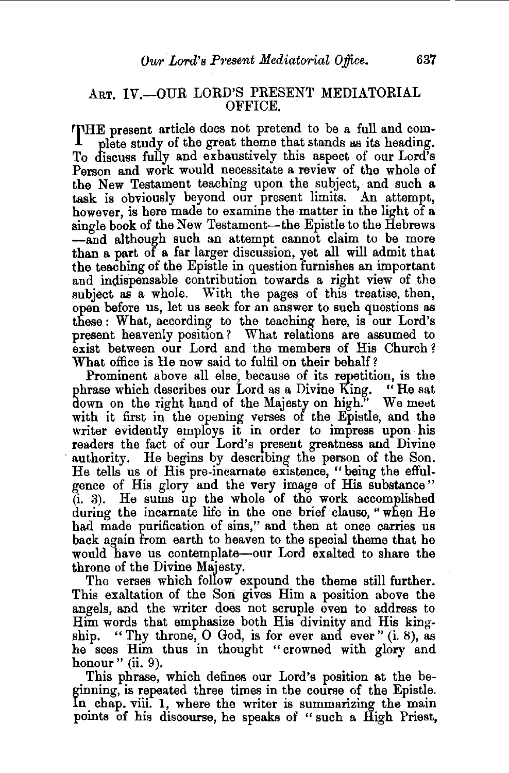## ART. IV.-OUR LORD'S PRESENT MEDIATORIAL OFFICE.

THE present article does not pretend to be a full and complete study of the great theme that stands as its heading. To discuss fully and exhaustively this aspect of our Lord's Person and work would necessitate a review of the whole of the New Testament teaching upon the subject, and such a task is obviously beyond our present limits. An attempt, however, is here made to examine the matter in the light of a single book of the New Testament-the Epistle to the Hebrews -and although such an attempt cannot claim to be more than a part of a far larger discussion, yet all will admit that the teaching of the Epistle in question furnishes an important and indispensable contribution towards a right view of the subject as a whole. With the pages of this treatise, then, open before us, let us seek for an answer to such questions as these : What, according to the teaching here, is our Lord's present heavenly position? What relations are assumed to exist between our Lord and the members of His Church? What office is He now said to fulfil on their behalf?

Prominent above all else, because of its repetition, is the rase which describes our Lord as a Divine King. "He sat phrase which describes our Lord as a Divine King. down on the right hand of the Majesty on high." We meet with it first in the opening verses of the Epistle, and the writer evidently employs it in order to impress upon· his readers the fact of our Lord's present greatness and Divine authority. He begins by describing the person of the Son. He tells us of His pre-incarnate existence, "being the effulgence of His glory and the very image of His substance " (i. 3). He sums up the whole of the work accomplished during the incarnate life in the one brief clause, " when He had made purification of sins," and then at once carries us back again from earth to heaven to the special theme that he would have us contemplate-our Lord exalted to share the

throne of the Divine Majesty. . The verses which follow expound the theme still further. This exaltation of the Son gives Him a position above the angels, and the writer does not scruple even to address to Him words that emphasize both His divinity and His kingship. " Thy throne,  $\overline{O}$  God, is for ever and ever " (i. 8), as he sees Him thus in thought "crowned with glory and honour" (ii. 9).

This phrase, which defines our Lord's position at the beginning, is repeated three times in the course of the Epistle. In chap. viii. 1, where the writer is summarizing the main points of his discourse, he speaks of " such a High Priest,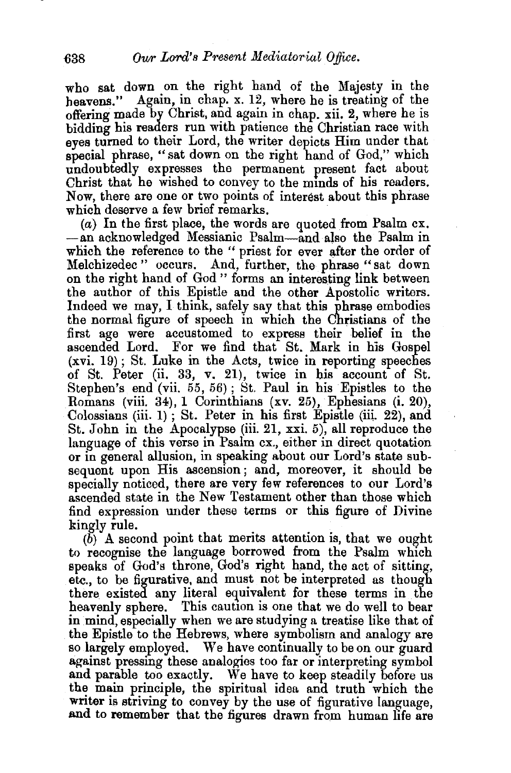who sat down on the right hand of the Majesty in the heavens." Again, in chap. x. 12, where he is treating of the offering made by Christ, and again in chap. xii. 2, where he is bidding his readers run with patience the Christian race with eyes turned to their Lord, the writer depicts Him under that special phrase, "sat down on the right hand of God," which undoubtedly expresses the permanent present fact about Christ that he wished to convey to the minds of his readers. Now, there are one or two points of interest about this phrase which deserve a few brief remarks.

(a) In the first place, the words are quoted from Psalm ex. -an acknowledged Messianic Psalm-and also the Psalm in which the reference to the " priest for ever after the order of Melchizedec " occurs. And, further, the phrase "sat down on the right hand of God " forms an interesting link between the author of this Epistle and the other Apostolic writers. Indeed we may, I think, safely say that this phrase embodies the normal figure of speech in which the Christians of the first age were accustomed to express their belief in the ascended Lord. For we find that St. Mark in his Gospel  $(xvi. 19)$ ; St. Luke in the Acts, twice in reporting speeches of St. Peter (ii. 33, v. 21), twice in bis account of St. Stephen's end (vii. 55, 56} ; St. Paul in his Epistles to the Romans (viii. 34), 1 Corinthians (xv. 25), Ephesians (i. 20), Colossians (iii. 1) ; St. Peter in his first Epistle (iii. 22), and St. John in the Apocalypse (iii. 21, xxi. 5), all reproduce the language of this verse in Psalm ex., either in direct quotation or in general allusion, in speaking about our Lord's state subsequent upon His ascension; and, moreover, it should be specially noticed, there are very few references to our Lord's ascended state in the New Testament other than those which find expression under these terms or this figure of Divine kingly rule.

 $(b)$  A second point that merits attention is, that we ought to recognise the language borrowed from the Psalm which speaks of  $God's$  throne,  $God's$  right hand, the act of sitting, etc., to be figurative, and must not be interpreted as though there existed any literal equivalent for these terms in the heavenly sphere. This caution is one that we do well to bear in mind, especially when we are studying a treatise like that of the Epistle to the Hebrews, where symbolism and analogy are so largely employed. We have continually to be on our guard against pressing these analogies too far or interpreting symbol and parable too exactly. We have to keep steadily before us the main principle, the spiritual idea and truth which the writer is striving to convey by the use of figurative language. and to remember that the figures drawn from human life are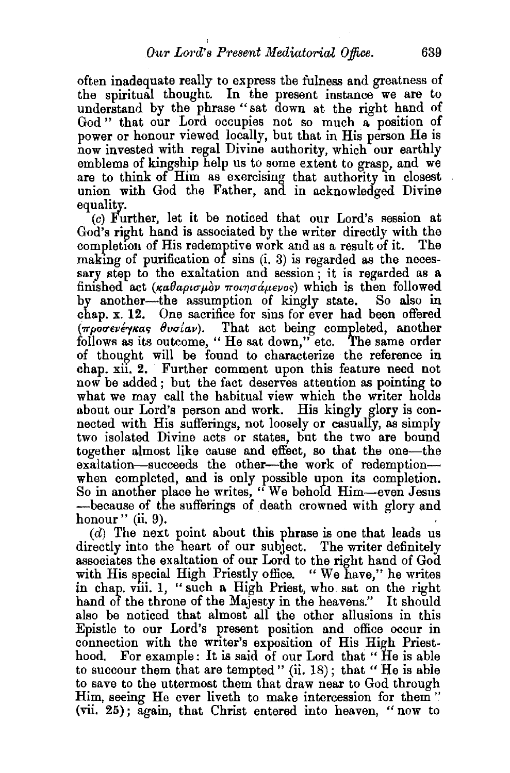often inadequate really to express the fulness and greatness of the spiritual thought. In the present instance we are to understand by the phrase "sat down at the right hand of God " that our Lord occupies not so much a position of power or honour viewed locally, but that in His person He is now invested with regal Divine authority, which our earthly emblems of kingship help us to some extent to grasp, and we are to think of Him as exercising that authority in closest union with God the Father, and in acknowledged Divine equality.

(c) Further, let it be noticed that our Lord's session at God's right hand is associated by the writer directly with the completion of His redemptive work and as a result of it. The making of purification of sins (i. 3) is regarded as the necessary step to the exaltation and session ; it is regarded as a finished act ( $\kappa a \theta a \rho \iota \sigma \mu \partial \nu \pi \partial \sigma \mu \partial \nu \partial \phi$ ) which is then followed by another-the assumption of kingly state. So also in chap. x. 12. One sacrifice for sins for ever had been offered  $(\pi \rho \overline{\sigma} \epsilon \nu \epsilon \gamma \kappa a \varsigma \theta \nu \sigma (a \nu))$ . That act being completed, another follows as its outcome, "He sat down," etc. The same order of thought will be found to characterize the reference in chap. xii. 2. Further comment upon this feature need not now be added; but the fact deserves attention as pointing to what we may call the habitual view which the writer holds about our Lord's person and work. His kingly glory is connected with His sufferings, not loosely or casually, as simply two isolated Divine acts or states, but the two are bound together almost like cause and effect, so that the one-the exaltation-succeeds the other-the work of redemptionwhen completed, and is only possible upon its completion. So in another place he writes, " We behold Rim-even Jesus -because of the sufferings of death crowned with glory and honour" (ii. 9).

 $(d)$  The next point about this phrase is one that leads us directly into the heart of our subject. The writer definitely associates the exaltation of our Lord to the right hand of God with His special High Priestly office. "We have," he writes in chap. viii. 1, "such a High Priest, who. sat on the right hand of the throne of the Majesty in the heavens." It should also be noticed that almost all the other allusions in this Epistle to our Lord's present position and office occur in connection with the writer's exposition of His High Priesthood. For example: It is said of our Lord that "He is able to succour them that are tempted" (ii.  $18$ ); that "He is able to save to the uttermost them that draw near to God through Rim, seeing He ever liveth to make intercession for them " (vii. 25); again, that Christ entered into heaven, "now to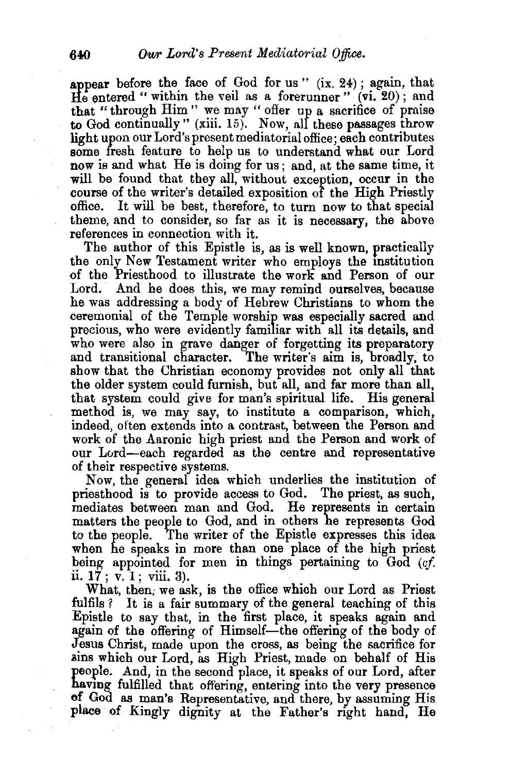appear before the face of God for us"  $(ix, 24)$ ; again, that He entered " within the veil as a forerunner" (vi. 20); and that "through Him " we may " offer up a sacrifice of praise to God continually" (xiii. 15). Now, all these passages throw light upon our Lord'spresentmediatorialoffice; each contributes some fresh feature to help us to understand what our Lord now is and what He is doing for us; and, at the same time, it will be found that they all, without exception, occur in the course of the writer's detailed exposition of the High Priestly It will be best, therefore, to turn now to that special theme, and to consider, so far as it is necessary, the above references in connection with it.

The author of this Epistle is, as is well known, practically the only New Testament writer who employs the institution of the Priesthood to illustrate the worK and Person of our Lord. And he does this, we may remind ourselves, because he was addressing a body of Hebrew Christians to whom the ceremonial of the Temple worship was especially sacred and precious, who were evidently familiar with all its details, and who were also in grave danger of forgetting its preparatory and transitional character. The writer's aim is, broadly, to show that the Christian economy provides not only all that the older system could furnish, but all, and far more than all, that system could give for man's spiritual life. His general method is, we may say, to institute a comparison, which, indeed, often extends into a contrast, between the Person and work of the Aaronic high priest and the Person and work of our Lord-each regarded as the centre and representative of their respective systems.

Now, the general idea which underlies the institution of priesthood is to provide access to God. The priest, as such, mediates between man and God. He represents in certain matters the people to God, and in others he represents God to the people. The writer of the Epistle expresses this idea when he speaks in more than one place of the high priest being appointed for men in things pertaining to God *(cf*  ii. 17; v. 1; viii. 3).

What, then; we ask, is the office which our Lord as Priest fulfils ? It is a fair summary of the general teaching of this Epistle to say that, in the first place, it speaks again and again of the offering of Himself-the offering of the body of Jesus Christ, made upon the cross, as being the sacrifice for ains which our Lord, as High Priest, made on behalf of His people. And, in the second place, it speaks of our Lord, after having fulfilled that offering, entering into the very presence of God as man's Representative, and there, by assuming His place of Kingly dignity at the Father's right hand, He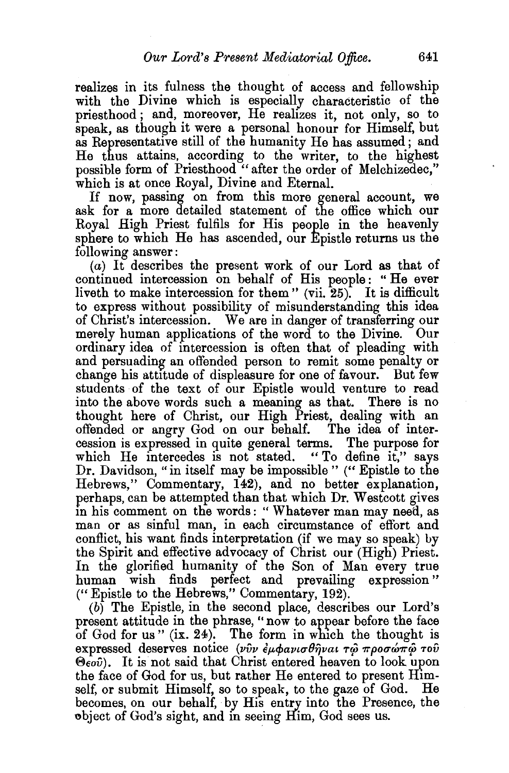realizes in its fulness the thought of access and fellowship with the Divine which is especially characteristic of the priesthood; and, moreover, He realizes it, not only, so to speak, as though it were a personal honour for Himself, but as Representative still of the humanity He has assumed; and He thus attains, according to the writer, to the highest possible form of Priesthood "after the order of Melchizedec," which is at once Royal, Divine and Eternal.

If now, passing on from this more general account, we ask for a more detailed statement of the office which our Royal High Priest fulfils for His people in the heavenly sphere to which He has ascended, our Epistle returns us the following answer:

(a) It describes the present work of our Lord as that of continued intercession on behalf of His people: "He ever liveth to make intercession for them " (vii. 25). It is difficult to express without possibility of misunderstanding this idea of Christ's intercession. We are in danger of transferring our merely human applications of the word to the Divine. Our ordinary idea of intercession is often that of pleading with and persuading an offended person to remit some penalty or change his attitude of displeasure for one of favour. But few students of the text of our Epistle would venture to read into the above words such a meaning as that. There is no thought here of Christ, our High Priest, dealing with an offended or angry God on our behalf. The idea of intercession is expressed in quite general terms. The purpose for which He intercedes is not stated. "To define it," says Dr. Davidson, "in itself may be impossible" ("Epistle to the Hebrews," Commentary, 142), and no better explanation, perhaps, can be attempted than that which Dr. Westcott gives m his comment on the words: " Whatever man may need, as man or as sinful man, in each circumstance of effort and conflict, his want finds interpretation (if we may so speak) by the Spirit and effective advocacy of Christ our (High) Priest. In the glorified humanity of the Son of Man every true human wish finds perfect and prevailing expression" ("Epistle to the Hebrews," Commentary, 192).

(b) The Epistle, in the second place, describes our Lord's present attitude in the phrase, "now. to appear before the face of God for us"  $(ix. 24)$ . The form in which the thought is expressed deserves notice *(νύν έμφανισθήναι τώ προσώπώ του*  $\Theta$ <sub>co</sub> $\hat{v}$ ). It is not said that Christ entered heaven to look upon the face of God for us, but rather He entered to present Himself, or submit Himself, so to speak, to the gaze of God. He becomes, on our behalf, by His entry into the Presence, the object of God's sight, and in seeing Him, God sees us.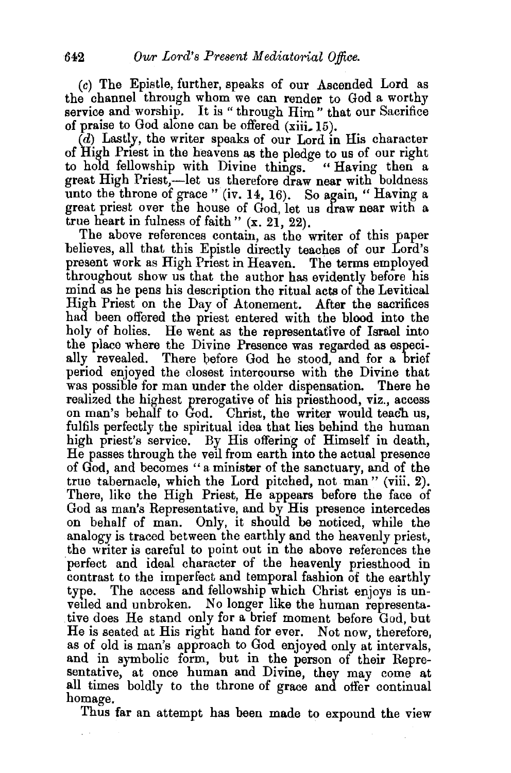$(c)$  The Epistle, further, speaks of our Ascended Lord as the channel through whom we can render to God a worthy service and worship. It is "through Him" that our Sacrifice of praise to God alone can be offered  $(xiii. 15)$ .

 $(d)$  Lastly, the writer speaks of our Lord in His character of High Priest in the heavens as the pledge to us of our right to hold fellowship with Divine things. "Having then a great High Priest,—let us therefore draw near with boldness unto the throne of grace " (iv. 14, 16). So again, " Having a great priest over the house of God, let us draw near with a true heart in fulness of faith " $(x, 21, 22)$ .

The above references contain, as the writer of this paper believes, all that this Epistle directly teaches of our Lord's present work as High Priest in Heaven. The terms employed throughout show us that the author has evidently before his mind as he pens his description the ritual acts of the Levitical High Priest on the Day of Atonement. After the sacrifices had been offered the priest entered with the blood into the holy of holies. He went as the representative of Israel into the place where the Divine Presence was regarded as especially revealed. There before God he stood, and for a brief period enjoyed the closest intercourse with the Divine that was possible for man under the older dispensation. There he realized the highest prerogative of his priesthood, viz., access on man's behalf to God. Christ, the writer would teach us, fulfils perfectly the spiritual idea that lies behind the human high priest's service. By His offering of Himself in death, He passes through the veil from earth mto the actual presence of God, and becomes " a minister of the sanctuary, and of the true tabernacle, which the Lord pitched, not man " (viii. 2). There, like the High Priest, He appears before the face of God as man's Representative, and by His presence intercedes on behalf of man. Only, it should be noticed, while the analogy is traced between the earthly and the heavenly priest, the writer is careful to point out in the above references the perfect and ideal character of the heavenly priesthood in contrast to the imperfect and temporal fashion of the earthly type. The access and fellowship which Christ enjoys is unveiled and unbroken. No longer like the human representative does He stand only for a brief moment before God, but He is seated at His right hand for ever. Not now, therefore, as of old is man's approach to God enjoyed only at intervals, and in symbolic form, but in the person of their Representative, at once human and Divine, they may come at all times boldly to the throne of grace and offer continual homage.

Thus far an attempt has been made to expound the view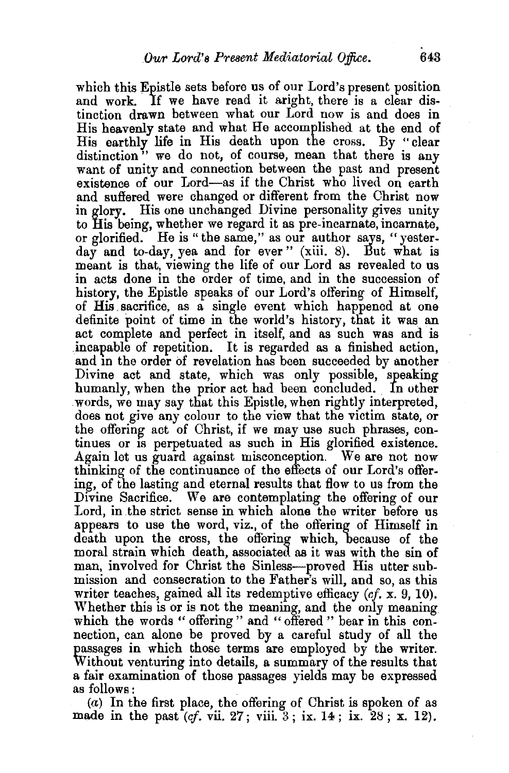which this Epistle sets before us of our Lord's present position and work. If we have read it aright, there is a clear distinction drawn between what our Lord now is and does in His heavenly state and what He accomplished at the end of His earthly life in His death upon the cross. By "clear distinction" we do not, of course, mean that there is any want of unity and connection between the past and present existence of our Lord-as if the Christ who lived on earth and suffered were changed or different from the Christ now in glory. His one unchanged Divine personality gives unity to His being, whether we regard it as pre-incarnate, incarnate, or glorified. He is " the same," as our author says, "yesterday and to-day, yea and for ever" (xiii. 8). But what is meant is that, viewing the life of our Lord as revealed to us in acts done in the order of time, and in the succession of history, the Epistle speaks of our Lord's offering of Himself, of His sacrifice, as a single event which happened at one definite point of time in the world's history, that it was an act complete and perfect in itself, and as such was and is incapable of repetition. It is regarded as a finished action, and in the order of revelation has been succeeded by another Divine act and state, which was only possible, speaking humanly, when the prior act had been concluded. In other .words, we may say that this Epistle, when rightly interpreted, does not give any colour to the view that the victim state, or the offering act of Christ, if we may use such phrases, continues or is perpetuated as such in His glorified existence. Again let us guard against misconception. We are not now thinking of the continuance of the effects of our Lord's offering, of the lasting and eternal results that flow to us from the Divine Sacrifice. We are contemplating the offering of our Lord, in the strict sense in which alone the writer before us appears to use the word, viz., of the offering of Himself in death upon the cross, the offering which, because of the moral strain which death, associated as it was with the sin of man, involved for Christ the Sinless-proved His utter submission and consecration to the Father's will, and so, as this writer teaches, gained all its redemptive efficacy *(cf.* x. 9, 10). Whether this is or is not the meaning, and the only meaning which the words " offering " and " offered " bear in this connection, can alone be proved by a careful study of all the passages in which those terms are employed by the writer. Without venturing into details, a summary of the results that a fair examination of those passages yields may be expressed as follows : .

 $(a)$  In the first place, the offering of Christ is spoken of as made in the past *(cf. vii.* 27; viii. 3; ix. 14; ix. 28; x. 12).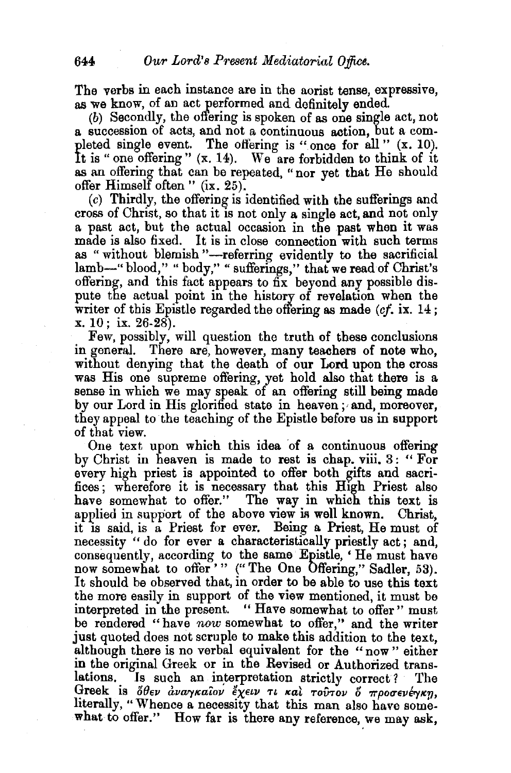The verbs in each instance are in the aorist tense, expressive, as we know, of an act performed and definitely ended

(b) Secondly, the offering is spoken of as one single act, not a succession of acts, and not a continuous action, but a completed single event. The offering is "once for all" (x. 10). It is " one offering " (x. 14). We are forbidden to think of it as an offering that can be repeated, "nor yet that He should offer Himself often" (ix. 25).

(c) Thirdly, the offering is identified with the sufferings and cross of Christ, so that it IS not only a single act, and not only a past act, but the actual occasion in the past when it was made is also fixed. It is in close connection with such terms as "without blemish"-referring evidently to the sacrificial lamb-" blood," " body," " sufferings," that we read of Christ's offering, and this fact appears to fix beyond any possible dispute the actual point in the history of revelation when the writer of this Epistle regarded the offering as made *(cf.* ix. 14; x. 10; ix. 26-28).

Few, possibly, will question the truth of these conclusions in general. There are, however, many teachers of note who, without denying that the death of our Lord upon the cross was His one supreme offering, yet hold also that there is a sense in which we may speak of an offering still being made by our Lord in His glorified state in heaven; and, moreover, they appeal to the teaching of the Epistle before us in support of that view.

One text upon which this idea of a continuous offering by Christ in heaven is made to rest is chap. viii. 3: " For every high priest is appointed to offer both gifts and sacrifices; wherefore it is necessary that this High Priest also have somewhat to offer." The way in which this text is applied in support of the above view is well known. Christ, it is said, is a Priest for ever. Being a Priest, He must of necessity " do for ever a characteristically priestly act; and, consequently, according to the same Epistle, 'He must have now somewhat to offer'" ("The One Offering," Sadler, 53). It should be observed that, in order to be able to use this text the more easily in support of the view mentioned, it must be interpreted in the present. " Have somewhat to offer" must be rendered "have *now* somewhat to offer," and the writer just quoted does not scruple to make this addition to the text, although there is no verbal equivalent for the "now" either in the original Greek or in the Revised or Authorized translations. Is such an interpretation strictly correct? The Greek is *όθεν αναγκαίον έχειν τι και τούτον ό προσενέγκη*, literally, "Whence a necessity that this man also have somewhat to offer." How far is there any reference, we may ask,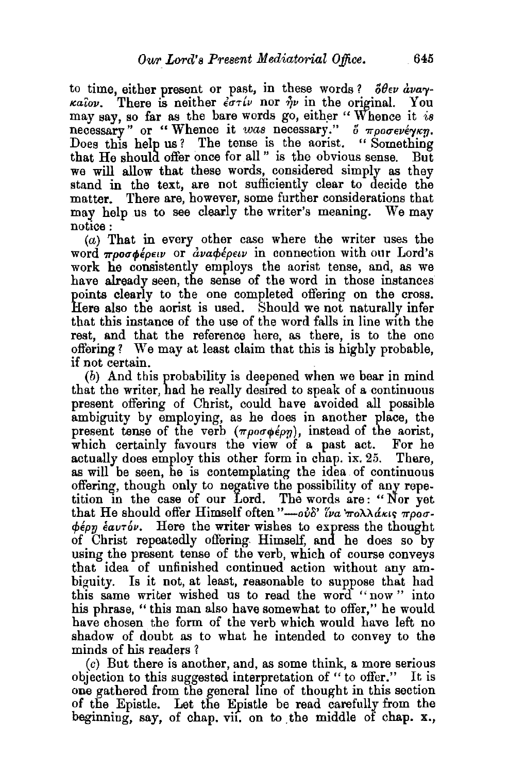to time, either present or past, in these words?  $\delta \theta \epsilon \nu$  *dva* $\nu$ *καΐον.* There is neither *εστίν* nor *ην* in the original. You may say, so far as the bare words go, either "Whence it *is* necessary" or "Whence it was necessary."  $\delta \pi \rho o \sigma e \nu \epsilon \gamma \kappa \eta$ . Does this help us? The tense is the aorist. "Something that He should offer once for all " is the obvious sense. But we will allow that these words, considered simply as they stand in the text, are not sufficiently clear to decide the matter. There are, however, some further considerations that may help us to see clearly the writer's meaning. We may notice:

 $(a)$  That in every other case where the writer uses the word  $\pi \rho \sigma \sigma \phi$ *épeiv* or *avapépeiv* in connection with our Lord's work he consistently employs the aorist tense, and, as we have already seen, the sense of the word in those instances points clearly to the one completed offering on the cross. Here also the aorist is used. Should we not naturally infer that this instance of the use of the word falls in line with the rest, and that the reference here, as there, is to the one offering? We may at least claim that this is highly probable,

if not certain.<br>(b) And this probability is deepened when we bear in mind that the writer, had he really desired to speak of a continuous present offering of Christ, could have avoided all possible ambiguity by employing, as he does in another place, the present tense of the verb  $(\pi \rho \sigma \phi \epsilon_{\rho \eta})$ , instead of the aorist, which certainly favours the view of a past act. For he actually does employ this other form in chap. ix. 25. There, as will be seen, he is contemplating the idea. of continuous offering, though only to negative the possibility of any repetition m the case of our Lord. The words are : " Nor yet that He should offer Himself often  $\partial^2 u = \partial^2 u \partial^2 u$  *roll dkus*  $\pi \rho \overline{\partial} \sigma$ .  $\phi \epsilon_{\rho \eta}$   $\epsilon_{\alpha \nu \tau} \delta \nu$ . Here the writer wishes to express the thought of Christ repeatedly offering. Himself, and he does so by using the present tense of the verb, which of course conveys that idea of unfinished continued action without any ambiguity. Is it not, at least, reasonable to suppose that had this same writer wished us to read the word "now" into his phrase, "this man also have somewhat to offer," he would have chosen the form of the verb which would have left no shadow of doubt as to what he intended to convey to the minds of his readers?

(c) But there is another, and, as some think, a more serious objection to this suggested interpretation of " to offer." It is one gathered from the general line of thought in this section of the Epistle. Let the Epistle be read carefully from the beginning, say, of chap. vii. on to the middle of chap.  $x_i$ ,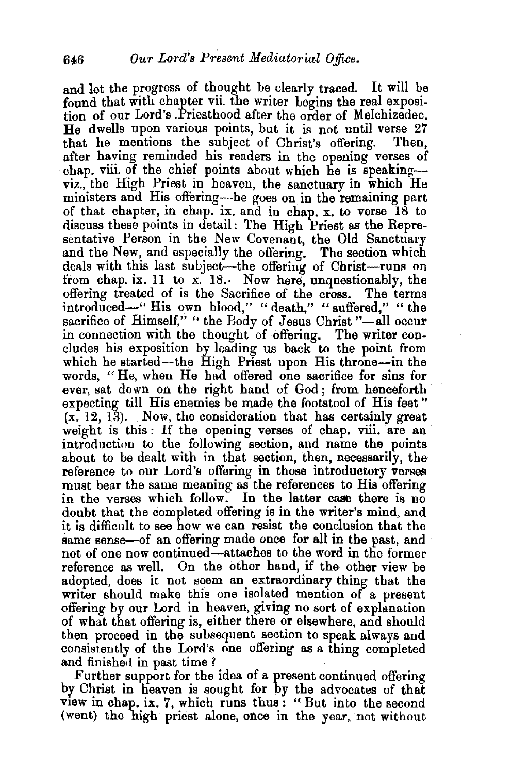and let the progress of thought he clearly traced. It will be found that with chapter vii. the writer begins the real exposition of our Lord's .Priesthood after the order of Melchizedec. He dwells upon various points, but it is not until verse 27 that he mentions the subject of Christ's offering. Then that he mentions the subject of Christ's offering. after having reminded his readers in the opening verses of chap. viii. of the chief points about which he is speakingviz., the High Priest in heaven, the sanctuary in which He ministers and His offering-he goes on in the remaining part of that chapter, in chap. ix. and in chap. x. to verse 18 to discuss these points in detail: The High Priest as the Representative Person in the New Covenant, the Old Sanctuary and the New, and especially the offering. The section which deals with this last subject-the offering of Christ-runs on from chap. ix. 11 to x. 18.. Now here, unquestionably, the offering treated of is the Sacrifice of the cross. The terms introduced-" His own blood," " death," " suffered," " the sacrifice of Himself," " the Body of Jesus Christ "-all occur in connection with the thought of offering. The writer concludes his exposition by leading us back to the point from which he started—the High Priest upon His throne—in the words, "He, when He had offered one sacrifice for sins for ever, sat down on the right hand of God; from henceforth expecting till His enemies be made the footstool of His feet "  $(x, 12, 13)$ . Now, the consideration that has certainly great weight is this: If the opening verses of chap. viii. are an introduction to the following section, and name the points about to be dealt with in that section, then, necessarily, the reference to our Lord's offering in those introductory verses must bear the same meaning as the references to His offering in the verses which follow. In the latter case there is no doubt that the completed offering is in the writer's mind, and it is difficult to see how we can resist the conclusion that the same sense—of an offering made once for all in the past, and not of one now continued-attaches to the word in the former reference as well. On the other hand, if the other view be adopted, does it not seem an extraordinary thing that the writer should make this one isolated mention of a present offering by our Lord in heaven, giving no sort of explanation of what that offering is, either there or elsewhere, and should then proceed in the subsequent section to speak always and consistently of the Lord's one offering as a thing completed

and finished in past time?<br>Further support for the idea of a present continued offering by Christ in heaven is sought for by the advocates of that VIew in chap. ix. 7, which runs thus: "But into the second (went) the high priest alone, once in the year, not without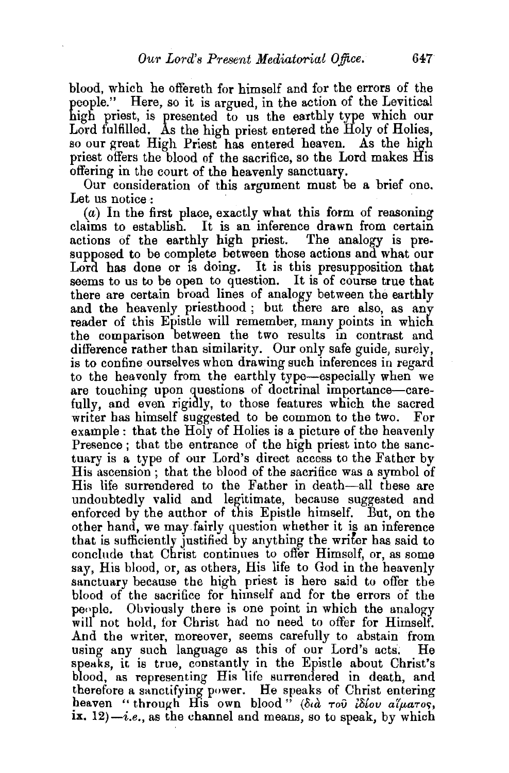blood, which he offereth for himself and for the errors of the people." Here, so it is argued, in the action of the Levitical high priest, is presented to us the earthly type which our Lord fulfilled. As the high priest entered the Holy of Holies, so our great High Priest has entered heaven. As the high priest offers the blood of the sacrifice, so the Lord makes His offering in the court of the heavenly sanctuary.

Our consideration of this argument must be a brief one. Let us notice :

 $(a)$  In the first place, exactly what this form of reasoning claims to establish. It is an inference drawn from certain actions of the earthly high priest. The analogy is presupposed to be complete between those actions and what our Lord has done or is doing. It is this presupposition that seems to us to be open to question. It is of course true that there are certain broad lines of analogy between the earthly and the heavenly priesthood; but there are also, as any reader of this Epistle will remember, many points in which the comparison between the two results in contrast and difference rather than similarity. Our only safe guide, surely, is to confine ourselves when drawing such inferences in regard to the heavenly from the earthly type-especially when we are touching upon questions of doctrinal importance-carefully, and even rigidly, to those features which the sacred writer has himself suggested to be common to the two. For example : that the Holy of Holies is a picture of the heavenly Presence: that the entrance of the high priest into the sanctuary is a type of our Lord's direct access to the Father by His ascension ; that the blood of the sacrifice was a symbol of His life surrendered to the Father in death-all these are undoubtedly valid and legitimate, because suggested and enforced by the author of this Epistle himself. But, on the other hand, we mayfairly question whether it is an inference that is sufficiently justified by anything the wriler has said to conclude that Christ continues to offer Himself, or, as some say, His blood, or, as others, His life to God in the heavenly sanctuary because the high priest is here said to offer the blood of the sacrifice for himself and for the errors of the people. Obviously there is one point in which the analogy will not hold, for Christ had no need to offer for Himself. And the writer, moreover, seems carefully to abstain from using any such language as this of our Lord's acts. He speaks, it is true, constantly in the Epistle about Christ's blood, as representing His life surrendered in death, and therefore a sanctifying power. He speaks of Christ entering heaven " through His own blood" ( $\delta u$  *rop idlov aluaros*, ix.  $12$ ) $-i.e.,$  as the channel and means, so to speak, by which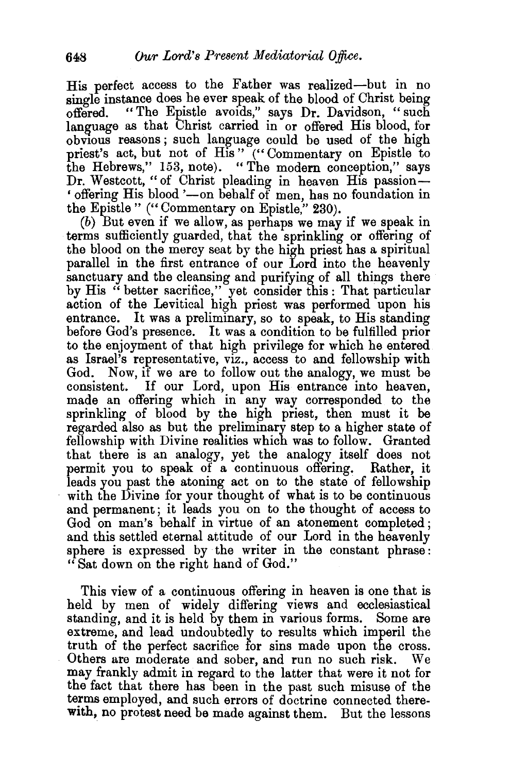His perfect access to the Father was realized—but in no single instance does he ever speak of the blood of Christ being offered. "The Epistle avoids," says Dr. Davidson, "such language as that Christ carried in or offered His blood, for obvious reasons; such language could be used of the high priest's act, but not of His" ("Commentary on Epistle to the Hebrews," 153, note). "The modern conception," says Dr. Westcott, "of Christ pleading in heaven His passion-' offering His blood '-on behalf of men, has no foundation in the Epistle " ("Commentary on Epistle," 230).

(b) But even if we allow, as perhaps we may if we speak in terms sufficiently guarded, that the sprinkling or offering of the blood on the mercy seat by the high priest has a spiritual parallel in the first entrance of our Lord into the heavenly sanctuary and the cleansing and purifying of all things there by His "better sacrifice," yet consider this: That particular action of the Levitical high priest was performed upon his entrance. It was a preliminary, so to speak, to His standing before God's presence. It was a condition to be fulfilled prior to the enjoyment of that high privilege for which he entered as Israel's representative, viz., access to and fellowship with God. Now, if we are to follow out the analogy, we must be consistent. If our Lord, upon His entrance into heaven, made an offering which in any way corresponded to the sprinkling of blood by the high priest, then must it be regarded also as but the preliminary step to a higher state of fellowship with Divine realities which was to follow. Granted that there is an analogy, yet the analogy itself does not permit you to speak of a continuous offering. Rather, it leads you past the atoning act on to the state of fellowship with the Divine for your thought of what is to be continuous and permanent; it leads you on to the thought of access to God on man's behalf in virtue of an atonement completed; and this settled eternal attitude of our Lord in the heavenly sphere is expressed by the writer in the constant phrase: "Sat down on the right hand of God."

This view of a continuous offering in heaven is one that is held by men of widely differing views and ecclesiastical standing, and it is held by them in various forms. Some are extreme, and lead undoubtedly to results which imperil the truth of the perfect sacrifice for sins made upon the cross. Others are moderate and sober, and run no such risk. We may frankly admit in regard to the latter that were it not for the fact that there has been in the past such misuse of the terms employed, and such errors of doctrine connected therewith, no protest need be made against them. But the lessons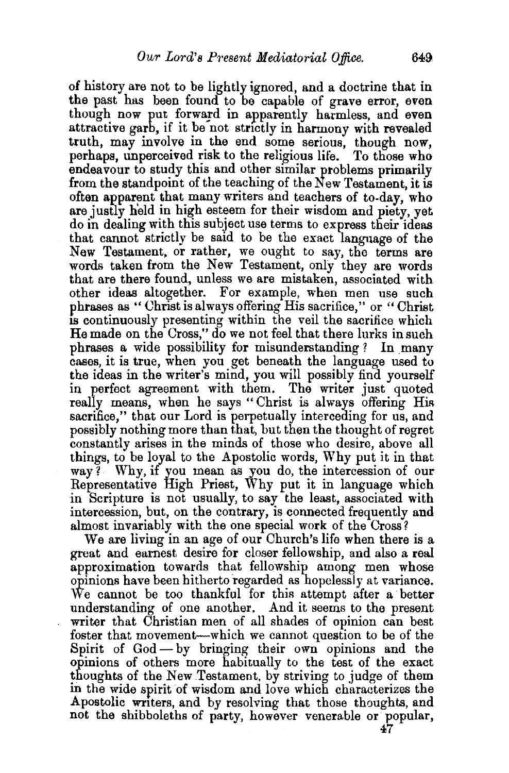of history are not to be lightly ignored, and a doctrine that in the past has been found to be capable of grave error, even though now put forward in apparently harmless, and even attractive garb, if it be not strictly in harmony with revealed truth, may involve in the end some serious, though now, perhaps, unperceived risk to the religious life. To those who endeavour to study this and other similar problems primarily from the standpoint of the teaching of the New Testament, it is often apparent that many writers and teachers of to-day, who are justly held in high esteem for their wisdom and piety, yet do in dealing with this subject use terms to express their ideas that cannot strictly be satd to be the exact language of the New Testament, or rather, we ought to say, the terms are words taken from the New Testament, only they are words that are there found, unless we are mistaken, associated with other ideas altogether. For example, when men use such phrases as " Christ is always offering His sacrifice," or " Christ is continuously presenting within the veil the sacrifice which He made on the Cross," do we not feel that there lurks in such phrases a wide possibility for misunderstanding? In many cases, it is true, when you get beneath the language used to the ideas in the writer's mind, you will possibly find yourself in perfect agreement with them. The writer just quoted really means, when he says "Christ is always offering His sacrifice," that our Lord is perpetually interceding for us, and possibly nothing more than that, but then the thought of regret constantly arises in the minds of those who desire, above all things, to be loyal to the Apostolic words, Why put it in that way? Why, if you mean as you do, the intercession of our Representative High Priest, Why put it in language which in Scripture is not usually, to say the least, associated with intercession, but, on the contrary, is connected frequently and almost invariably with the one special work of the Cross?

We are living in an age of our Church's life when there is a great and earnest desire for closer fellowship, and also a real approximation towards that fellowship among men whose opinions have been hitherto regarded as hopelessly at variance. We cannot be too thankful for this attempt after a better understanding of one another. And it seems to the present writer that Christian men of all shades of opinion can best foster that movement—which we cannot question to be of the Spirit of God - by bringing their own opinions and the opinions of others more habitually to the test of the exact thoughts of the New Testament, by striving to judge of them in the wide spirit of wisdom and love which characterizes the Apostolic writers, and by resolving that those thoughts, and not the shibboleths of party, however venerable or popular,

47